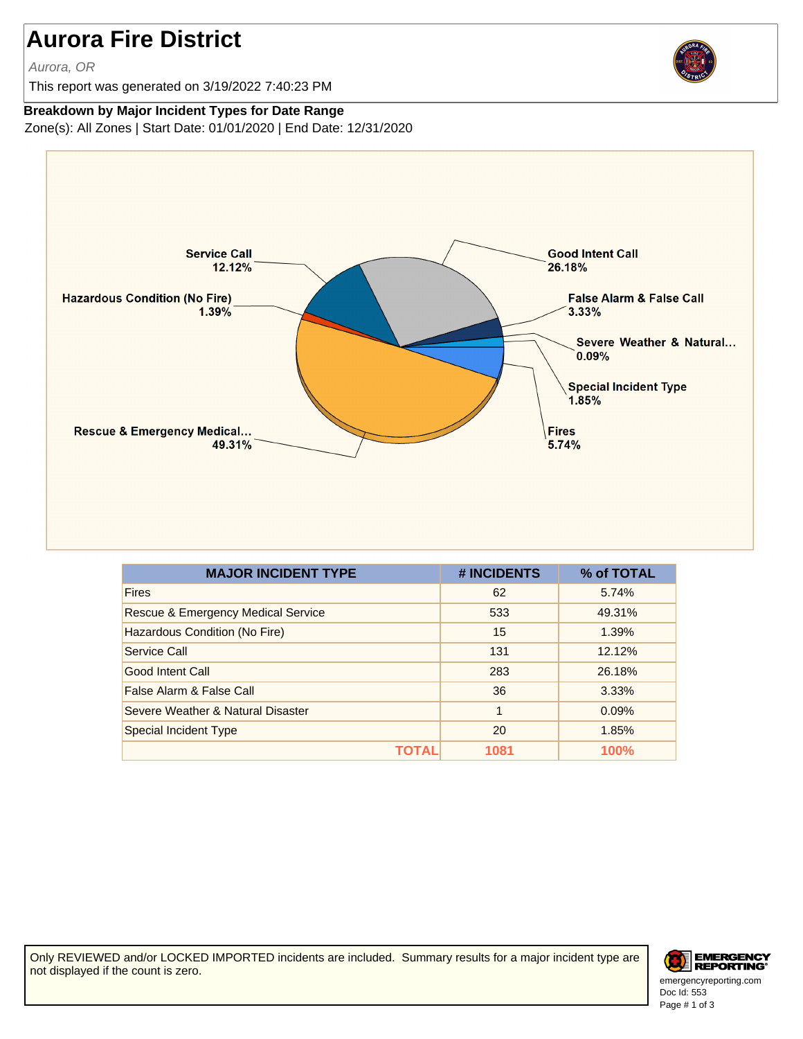## **Aurora Fire District**

Aurora, OR

This report was generated on 3/19/2022 7:40:23 PM



## **Breakdown by Major Incident Types for Date Range**

Zone(s): All Zones | Start Date: 01/01/2020 | End Date: 12/31/2020



| <b>MAJOR INCIDENT TYPE</b>                    | # INCIDENTS | % of TOTAL |
|-----------------------------------------------|-------------|------------|
| <b>Fires</b>                                  | 62          | 5.74%      |
| <b>Rescue &amp; Emergency Medical Service</b> | 533         | 49.31%     |
| Hazardous Condition (No Fire)                 | 15          | 1.39%      |
| Service Call                                  | 131         | 12.12%     |
| Good Intent Call                              | 283         | 26.18%     |
| False Alarm & False Call                      | 36          | 3.33%      |
| Severe Weather & Natural Disaster             | 1           | 0.09%      |
| <b>Special Incident Type</b>                  | 20          | 1.85%      |
| TOTAL                                         | 1081        | 100%       |

Only REVIEWED and/or LOCKED IMPORTED incidents are included. Summary results for a major incident type are not displayed if the count is zero.



Doc Id: 553 emergencyreporting.com Page # 1 of 3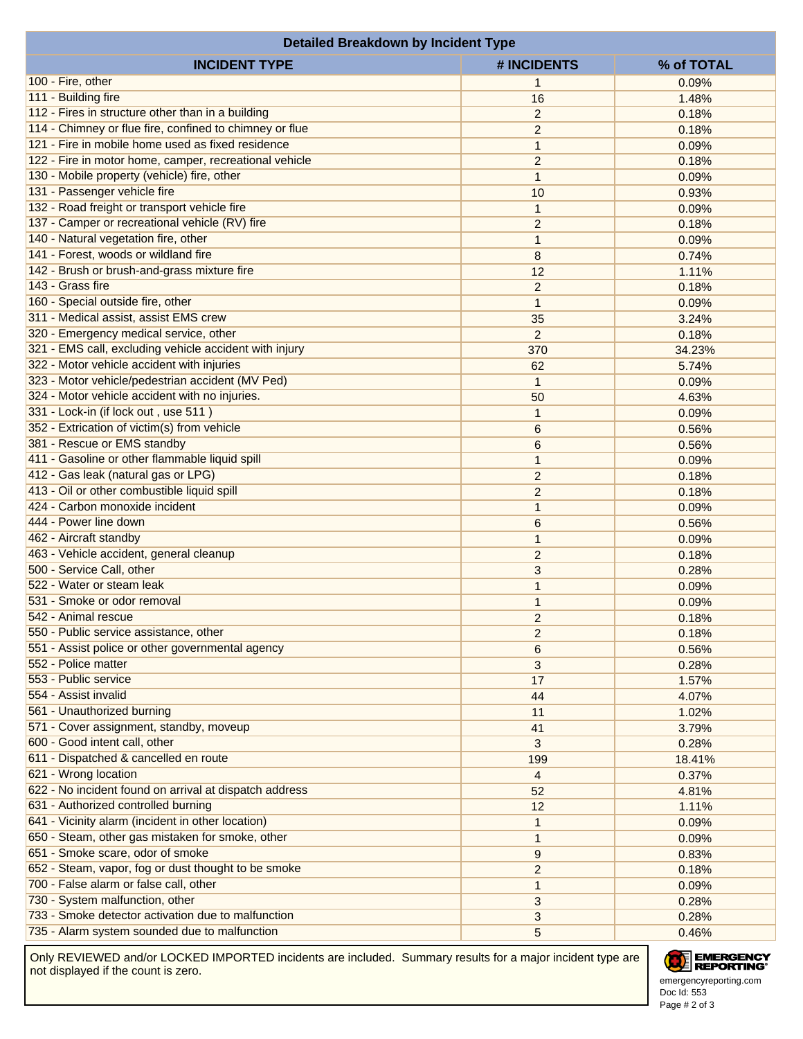| <b>Detailed Breakdown by Incident Type</b>              |                                |            |  |  |
|---------------------------------------------------------|--------------------------------|------------|--|--|
| <b>INCIDENT TYPE</b>                                    | # INCIDENTS                    | % of TOTAL |  |  |
| 100 - Fire, other                                       | $\mathbf{1}$                   | 0.09%      |  |  |
| 111 - Building fire                                     | 16                             | 1.48%      |  |  |
| 112 - Fires in structure other than in a building       | $\overline{2}$                 | 0.18%      |  |  |
| 114 - Chimney or flue fire, confined to chimney or flue | $\overline{c}$                 | 0.18%      |  |  |
| 121 - Fire in mobile home used as fixed residence       | $\mathbf{1}$                   | 0.09%      |  |  |
| 122 - Fire in motor home, camper, recreational vehicle  | $\overline{c}$                 | 0.18%      |  |  |
| 130 - Mobile property (vehicle) fire, other             | $\mathbf{1}$                   | 0.09%      |  |  |
| 131 - Passenger vehicle fire                            | 10                             | 0.93%      |  |  |
| 132 - Road freight or transport vehicle fire            | $\mathbf{1}$                   | 0.09%      |  |  |
| 137 - Camper or recreational vehicle (RV) fire          | $\overline{c}$                 | 0.18%      |  |  |
| 140 - Natural vegetation fire, other                    | $\mathbf{1}$                   | 0.09%      |  |  |
| 141 - Forest, woods or wildland fire                    | 8                              | 0.74%      |  |  |
| 142 - Brush or brush-and-grass mixture fire             | 12                             | 1.11%      |  |  |
| 143 - Grass fire                                        |                                | 0.18%      |  |  |
| 160 - Special outside fire, other                       | $\overline{c}$<br>$\mathbf{1}$ | 0.09%      |  |  |
| 311 - Medical assist, assist EMS crew                   |                                |            |  |  |
| 320 - Emergency medical service, other                  | 35                             | 3.24%      |  |  |
|                                                         | $\overline{2}$                 | 0.18%      |  |  |
| 321 - EMS call, excluding vehicle accident with injury  | 370                            | 34.23%     |  |  |
| 322 - Motor vehicle accident with injuries              | 62                             | 5.74%      |  |  |
| 323 - Motor vehicle/pedestrian accident (MV Ped)        | $\mathbf{1}$                   | 0.09%      |  |  |
| 324 - Motor vehicle accident with no injuries.          | 50                             | 4.63%      |  |  |
| 331 - Lock-in (if lock out, use 511)                    | $\mathbf{1}$                   | 0.09%      |  |  |
| 352 - Extrication of victim(s) from vehicle             | 6                              | 0.56%      |  |  |
| 381 - Rescue or EMS standby                             | 6                              | 0.56%      |  |  |
| 411 - Gasoline or other flammable liquid spill          | $\mathbf{1}$                   | 0.09%      |  |  |
| 412 - Gas leak (natural gas or LPG)                     | $\overline{c}$                 | 0.18%      |  |  |
| 413 - Oil or other combustible liquid spill             | $\overline{c}$                 | 0.18%      |  |  |
| 424 - Carbon monoxide incident                          | $\mathbf{1}$                   | 0.09%      |  |  |
| 444 - Power line down                                   | 6                              | 0.56%      |  |  |
| 462 - Aircraft standby                                  | $\mathbf{1}$                   | 0.09%      |  |  |
| 463 - Vehicle accident, general cleanup                 | $\overline{c}$                 | 0.18%      |  |  |
| 500 - Service Call, other                               | 3                              | 0.28%      |  |  |
| 522 - Water or steam leak                               | $\mathbf{1}$                   | 0.09%      |  |  |
| 531 - Smoke or odor removal                             | $\mathbf{1}$                   | 0.09%      |  |  |
| 542 - Animal rescue                                     | $\overline{c}$                 | 0.18%      |  |  |
| 550 - Public service assistance, other                  | $\overline{c}$                 | 0.18%      |  |  |
| 551 - Assist police or other governmental agency        | 6                              | 0.56%      |  |  |
| 552 - Police matter                                     | 3                              | 0.28%      |  |  |
| 553 - Public service                                    | 17                             | 1.57%      |  |  |
| 554 - Assist invalid                                    | 44                             | 4.07%      |  |  |
| 561 - Unauthorized burning                              | 11                             | 1.02%      |  |  |
| 571 - Cover assignment, standby, moveup                 | 41                             | 3.79%      |  |  |
| 600 - Good intent call, other                           | 3                              | 0.28%      |  |  |
| 611 - Dispatched & cancelled en route                   | 199                            | 18.41%     |  |  |
| 621 - Wrong location                                    | 4                              | 0.37%      |  |  |
| 622 - No incident found on arrival at dispatch address  | 52                             | 4.81%      |  |  |
| 631 - Authorized controlled burning                     | 12                             | 1.11%      |  |  |
| 641 - Vicinity alarm (incident in other location)       | $\mathbf{1}$                   | 0.09%      |  |  |
| 650 - Steam, other gas mistaken for smoke, other        | $\mathbf{1}$                   | 0.09%      |  |  |
| 651 - Smoke scare, odor of smoke                        | $\boldsymbol{9}$               | 0.83%      |  |  |
| 652 - Steam, vapor, fog or dust thought to be smoke     | $\overline{c}$                 | 0.18%      |  |  |
| 700 - False alarm or false call, other                  | $\mathbf{1}$                   | 0.09%      |  |  |
| 730 - System malfunction, other                         | 3                              | 0.28%      |  |  |
| 733 - Smoke detector activation due to malfunction      | 3                              | 0.28%      |  |  |
| 735 - Alarm system sounded due to malfunction           | 5                              | 0.46%      |  |  |
|                                                         |                                |            |  |  |

Only REVIEWED and/or LOCKED IMPORTED incidents are included. Summary results for a major incident type are not displayed if the count is zero.

## EMERGENCY

Doc Id: 553 emergencyreporting.com Page # 2 of 3